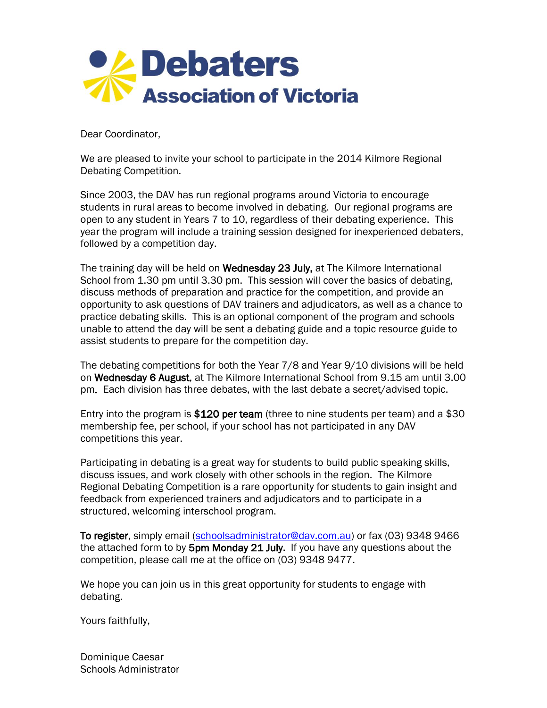

Dear Coordinator,

We are pleased to invite your school to participate in the 2014 Kilmore Regional Debating Competition.

Since 2003, the DAV has run regional programs around Victoria to encourage students in rural areas to become involved in debating. Our regional programs are open to any student in Years 7 to 10, regardless of their debating experience. This year the program will include a training session designed for inexperienced debaters, followed by a competition day.

The training day will be held on Wednesday 23 July, at The Kilmore International School from 1.30 pm until 3.30 pm. This session will cover the basics of debating, discuss methods of preparation and practice for the competition, and provide an opportunity to ask questions of DAV trainers and adjudicators, as well as a chance to practice debating skills. This is an optional component of the program and schools unable to attend the day will be sent a debating guide and a topic resource guide to assist students to prepare for the competition day.

The debating competitions for both the Year 7/8 and Year 9/10 divisions will be held on Wednesday 6 August, at The Kilmore International School from 9.15 am until 3.00 pm. Each division has three debates, with the last debate a secret/advised topic.

Entry into the program is \$120 per team (three to nine students per team) and a \$30 membership fee, per school, if your school has not participated in any DAV competitions this year.

Participating in debating is a great way for students to build public speaking skills, discuss issues, and work closely with other schools in the region. The Kilmore Regional Debating Competition is a rare opportunity for students to gain insight and feedback from experienced trainers and adjudicators and to participate in a structured, welcoming interschool program.

To register, simply email [\(schoolsadministrator@dav.com.au\)](mailto:schoolsadministrator@dav.com.au) or fax (03) 9348 9466 the attached form to by 5pm Monday 21 July. If you have any questions about the competition, please call me at the office on (03) 9348 9477.

We hope you can join us in this great opportunity for students to engage with debating.

Yours faithfully,

Dominique Caesar Schools Administrator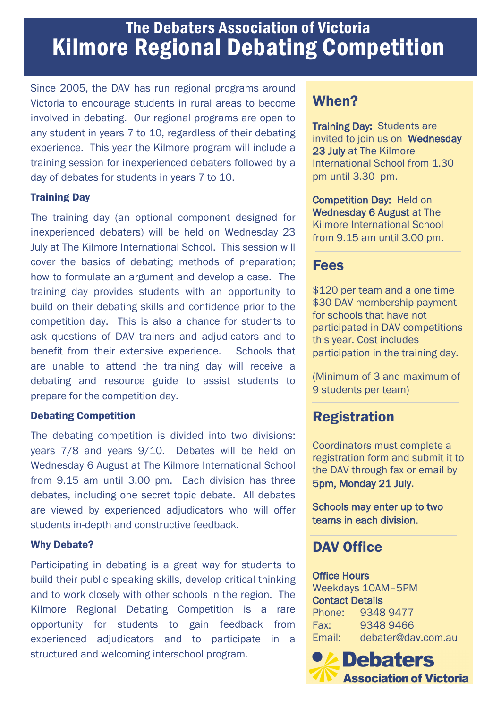# The Debaters Association of Victoria Kilmore Regional Debating Competition

Since 2005, the DAV has run regional programs around Victoria to encourage students in rural areas to become involved in debating. Our regional programs are open to any student in years 7 to 10, regardless of their debating experience. This year the Kilmore program will include a training session for inexperienced debaters followed by a day of debates for students in years 7 to 10.

#### Training Day

The training day (an optional component designed for inexperienced debaters) will be held on Wednesday 23 July at The Kilmore International School. This session will cover the basics of debating; methods of preparation; how to formulate an argument and develop a case. The training day provides students with an opportunity to build on their debating skills and confidence prior to the competition day. This is also a chance for students to ask questions of DAV trainers and adjudicators and to benefit from their extensive experience. Schools that are unable to attend the training day will receive a debating and resource guide to assist students to prepare for the competition day.

#### Debating Competition

The debating competition is divided into two divisions: years 7/8 and years 9/10. Debates will be held on Wednesday 6 August at The Kilmore International School from 9.15 am until 3.00 pm. Each division has three debates, including one secret topic debate. All debates are viewed by experienced adjudicators who will offer students in-depth and constructive feedback.

#### Why Debate?

Participating in debating is a great way for students to build their public speaking skills, develop critical thinking and to work closely with other schools in the region. The Kilmore Regional Debating Competition is a rare opportunity for students to gain feedback from experienced adjudicators and to participate in a structured and welcoming interschool program.

## When?

**Training Day: Students are** invited to join us on Wednesday 23 July at The Kilmore International School from 1.30 pm until 3.30 pm.

Competition Day: Held on Wednesday 6 August at The Kilmore International School from 9.15 am until 3.00 pm.

### Fees

\$120 per team and a one time \$30 DAV membership payment for schools that have not participated in DAV competitions this year. Cost includes participation in the training day.

(Minimum of 3 and maximum of 9 students per team)

### **Registration**

Coordinators must complete a registration form and submit it to the DAV through fax or email by 5pm, Monday 21 July.

Schools may enter up to two teams in each division.

### DAV Office

Office Hours Weekdays 10AM–5PM Contact Details Phone: 9348 9477 Fax: 9348 9466 Email: debater@dav.com.au